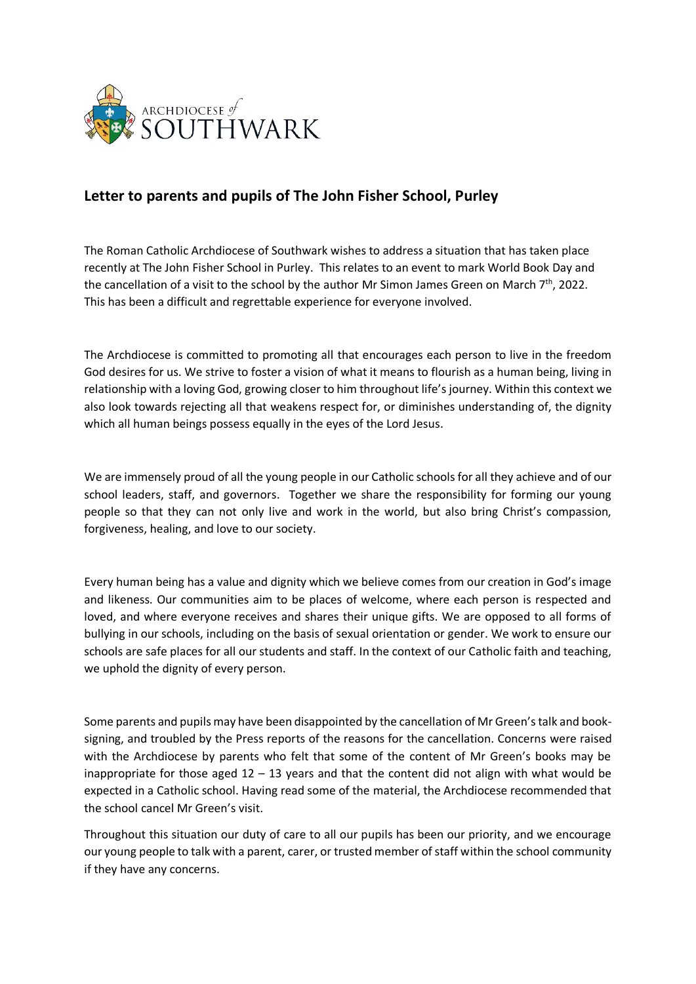

## **Letter to parents and pupils of The John Fisher School, Purley**

The Roman Catholic Archdiocese of Southwark wishes to address a situation that has taken place recently at The John Fisher School in Purley. This relates to an event to mark World Book Day and the cancellation of a visit to the school by the author Mr Simon James Green on March 7<sup>th</sup>, 2022. This has been a difficult and regrettable experience for everyone involved.

The Archdiocese is committed to promoting all that encourages each person to live in the freedom God desires for us. We strive to foster a vision of what it means to flourish as a human being, living in relationship with a loving God, growing closer to him throughout life's journey. Within this context we also look towards rejecting all that weakens respect for, or diminishes understanding of, the dignity which all human beings possess equally in the eyes of the Lord Jesus.

We are immensely proud of all the young people in our Catholic schools for all they achieve and of our school leaders, staff, and governors. Together we share the responsibility for forming our young people so that they can not only live and work in the world, but also bring Christ's compassion, forgiveness, healing, and love to our society.

Every human being has a value and dignity which we believe comes from our creation in God's image and likeness. Our communities aim to be places of welcome, where each person is respected and loved, and where everyone receives and shares their unique gifts. We are opposed to all forms of bullying in our schools, including on the basis of sexual orientation or gender. We work to ensure our schools are safe places for all our students and staff. In the context of our Catholic faith and teaching, we uphold the dignity of every person.

Some parents and pupils may have been disappointed by the cancellation of Mr Green's talk and booksigning, and troubled by the Press reports of the reasons for the cancellation. Concerns were raised with the Archdiocese by parents who felt that some of the content of Mr Green's books may be inappropriate for those aged  $12 - 13$  years and that the content did not align with what would be expected in a Catholic school. Having read some of the material, the Archdiocese recommended that the school cancel Mr Green's visit.

Throughout this situation our duty of care to all our pupils has been our priority, and we encourage our young people to talk with a parent, carer, or trusted member of staff within the school community if they have any concerns.